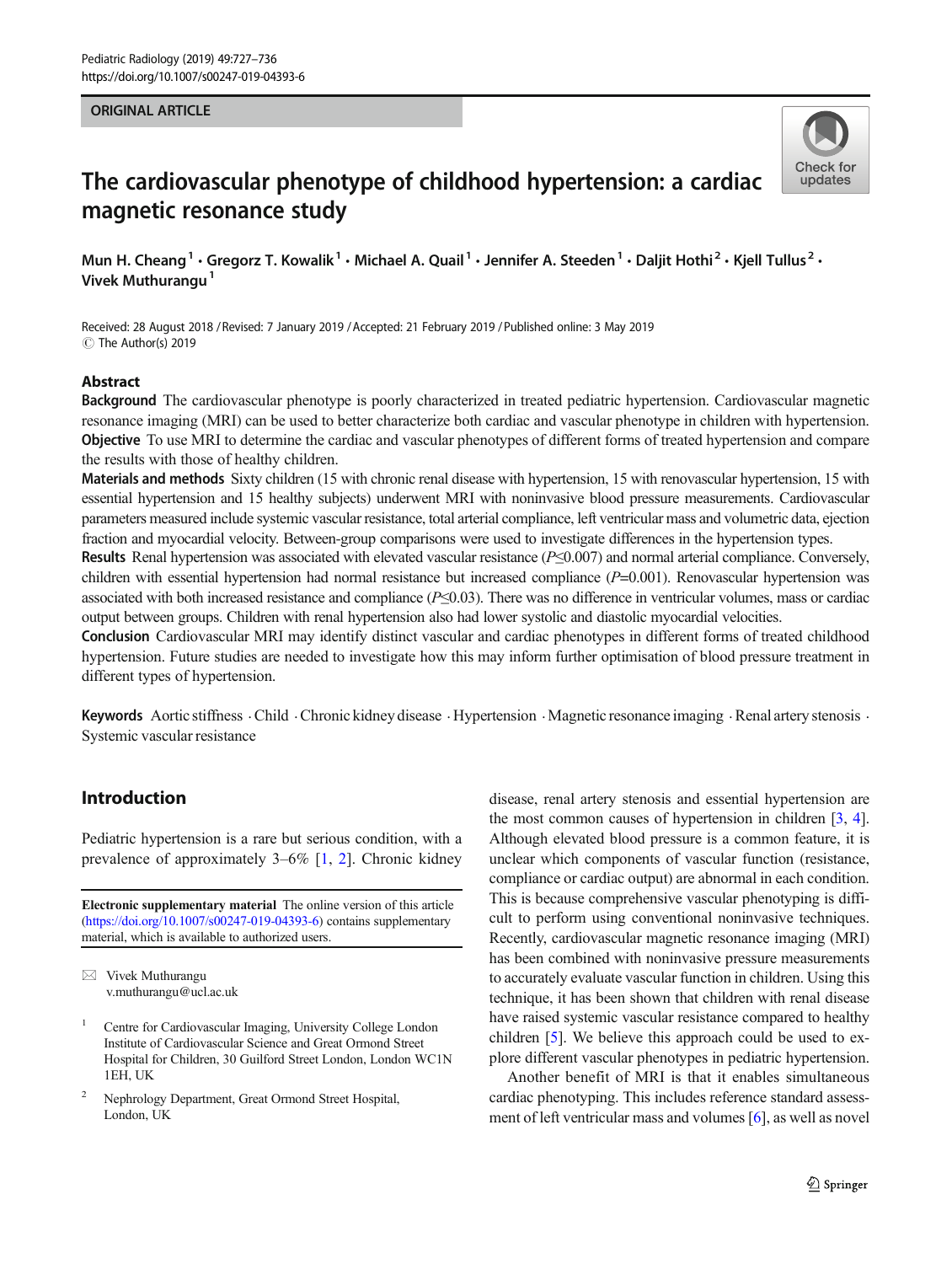#### ORIGINAL ARTICLE



# The cardiovascular phenotype of childhood hypertension: a cardiac magnetic resonance study

Mun H. Cheang<sup>1</sup> • Gregorz T. Kowalik<sup>1</sup> • Michael A. Quail<sup>1</sup> • Jennifer A. Steeden<sup>1</sup> • Daljit Hothi<sup>2</sup> • Kjell Tullus<sup>2</sup> • Vivek Muthurangu<sup>1</sup>

Received: 28 August 2018 / Revised: 7 January 2019 /Accepted: 21 February 2019 /Published online: 3 May 2019  $\circledcirc$  The Author(s) 2019

#### Abstract

Background The cardiovascular phenotype is poorly characterized in treated pediatric hypertension. Cardiovascular magnetic resonance imaging (MRI) can be used to better characterize both cardiac and vascular phenotype in children with hypertension. Objective To use MRI to determine the cardiac and vascular phenotypes of different forms of treated hypertension and compare the results with those of healthy children.

Materials and methods Sixty children (15 with chronic renal disease with hypertension, 15 with renovascular hypertension, 15 with essential hypertension and 15 healthy subjects) underwent MRI with noninvasive blood pressure measurements. Cardiovascular parameters measured include systemic vascular resistance, total arterial compliance, left ventricular mass and volumetric data, ejection fraction and myocardial velocity. Between-group comparisons were used to investigate differences in the hypertension types.

Results Renal hypertension was associated with elevated vascular resistance ( $P \le 0.007$ ) and normal arterial compliance. Conversely, children with essential hypertension had normal resistance but increased compliance  $(P=0.001)$ . Renovascular hypertension was associated with both increased resistance and compliance (P≤0.03). There was no difference in ventricular volumes, mass or cardiac output between groups. Children with renal hypertension also had lower systolic and diastolic myocardial velocities.

Conclusion Cardiovascular MRI may identify distinct vascular and cardiac phenotypes in different forms of treated childhood hypertension. Future studies are needed to investigate how this may inform further optimisation of blood pressure treatment in different types of hypertension.

Keywords Aortic stiffness  $\cdot$ Child  $\cdot$ Chronic kidney disease  $\cdot$ Hypertension  $\cdot$ Magnetic resonance imaging  $\cdot$ Renal artery stenosis  $\cdot$ Systemic vascular resistance

# Introduction

Pediatric hypertension is a rare but serious condition, with a prevalence of approximately 3–6% [[1,](#page-8-0) [2\]](#page-8-0). Chronic kidney

Electronic supplementary material The online version of this article ([https://doi.org/10.1007/s00247-019-04393-6\)](https://doi.org/10.1007/s00247-019-04393-6) contains supplementary material, which is available to authorized users.

 $\boxtimes$  Vivek Muthurangu [v.muthurangu@ucl.ac.uk](mailto:v.muthurangu@ucl.ac.uk)

<sup>2</sup> Nephrology Department, Great Ormond Street Hospital, London, UK

disease, renal artery stenosis and essential hypertension are the most common causes of hypertension in children [\[3,](#page-8-0) [4\]](#page-8-0). Although elevated blood pressure is a common feature, it is unclear which components of vascular function (resistance, compliance or cardiac output) are abnormal in each condition. This is because comprehensive vascular phenotyping is difficult to perform using conventional noninvasive techniques. Recently, cardiovascular magnetic resonance imaging (MRI) has been combined with noninvasive pressure measurements to accurately evaluate vascular function in children. Using this technique, it has been shown that children with renal disease have raised systemic vascular resistance compared to healthy children [\[5](#page-8-0)]. We believe this approach could be used to explore different vascular phenotypes in pediatric hypertension.

Another benefit of MRI is that it enables simultaneous cardiac phenotyping. This includes reference standard assessment of left ventricular mass and volumes [\[6](#page-8-0)], as well as novel

<sup>1</sup> Centre for Cardiovascular Imaging, University College London Institute of Cardiovascular Science and Great Ormond Street Hospital for Children, 30 Guilford Street London, London WC1N 1EH, UK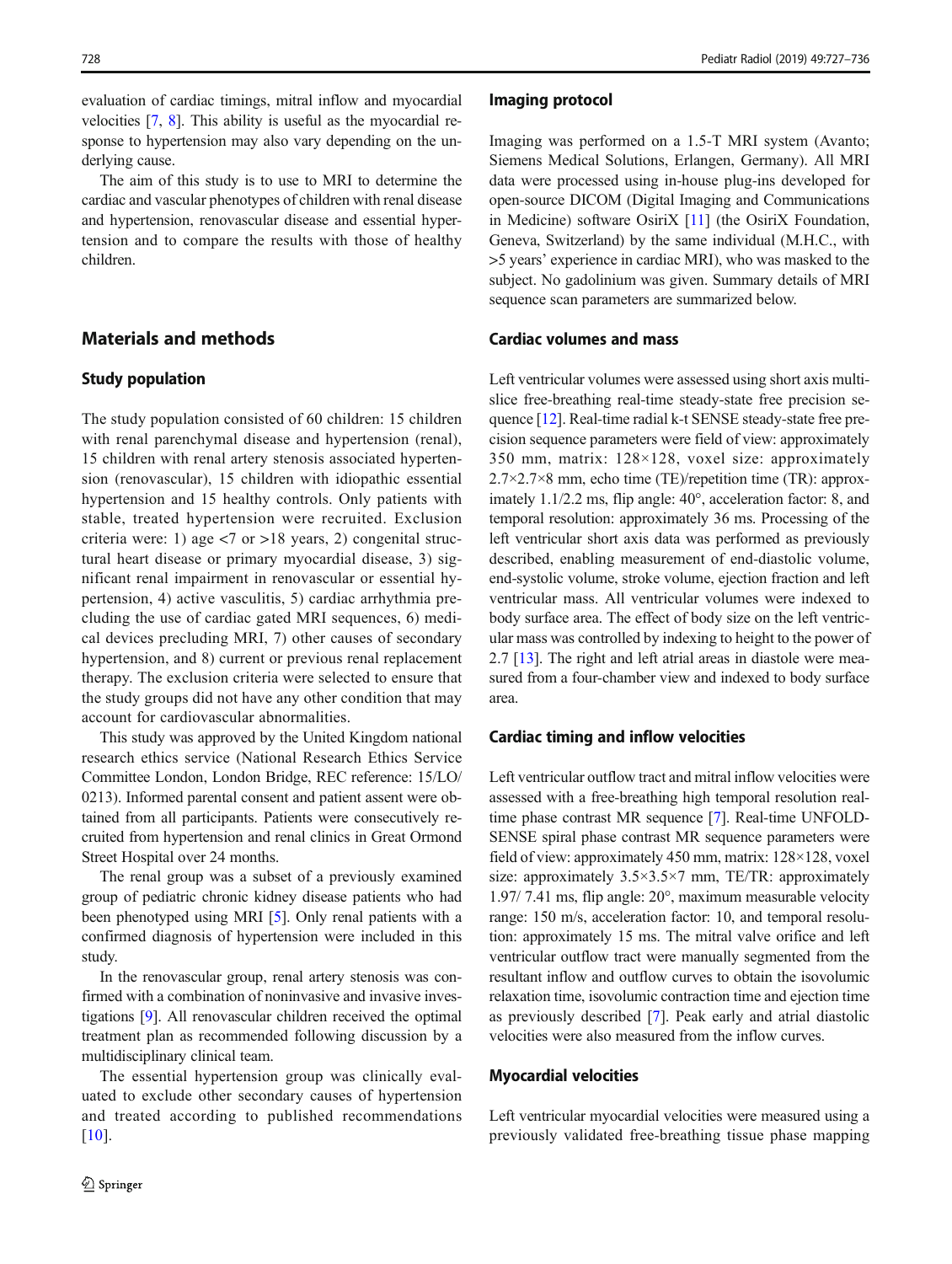728 Pediatr Radiol (2019) 49:727–736

evaluation of cardiac timings, mitral inflow and myocardial velocities [\[7](#page-8-0), [8](#page-8-0)]. This ability is useful as the myocardial response to hypertension may also vary depending on the underlying cause.

The aim of this study is to use to MRI to determine the cardiac and vascular phenotypes of children with renal disease and hypertension, renovascular disease and essential hypertension and to compare the results with those of healthy children.

# Materials and methods

#### Study population

The study population consisted of 60 children: 15 children with renal parenchymal disease and hypertension (renal), 15 children with renal artery stenosis associated hypertension (renovascular), 15 children with idiopathic essential hypertension and 15 healthy controls. Only patients with stable, treated hypertension were recruited. Exclusion criteria were: 1) age  $\langle 7 \text{ or } > 18 \text{ years}, 2 \rangle$  congenital structural heart disease or primary myocardial disease, 3) significant renal impairment in renovascular or essential hypertension, 4) active vasculitis, 5) cardiac arrhythmia precluding the use of cardiac gated MRI sequences, 6) medical devices precluding MRI, 7) other causes of secondary hypertension, and 8) current or previous renal replacement therapy. The exclusion criteria were selected to ensure that the study groups did not have any other condition that may account for cardiovascular abnormalities.

This study was approved by the United Kingdom national research ethics service (National Research Ethics Service Committee London, London Bridge, REC reference: 15/LO/ 0213). Informed parental consent and patient assent were obtained from all participants. Patients were consecutively recruited from hypertension and renal clinics in Great Ormond Street Hospital over 24 months.

The renal group was a subset of a previously examined group of pediatric chronic kidney disease patients who had been phenotyped using MRI [\[5](#page-8-0)]. Only renal patients with a confirmed diagnosis of hypertension were included in this study.

In the renovascular group, renal artery stenosis was confirmed with a combination of noninvasive and invasive investigations [[9\]](#page-8-0). All renovascular children received the optimal treatment plan as recommended following discussion by a multidisciplinary clinical team.

The essential hypertension group was clinically evaluated to exclude other secondary causes of hypertension and treated according to published recommendations  $\lceil 10 \rceil$ .

#### Imaging protocol

Imaging was performed on a 1.5-T MRI system (Avanto; Siemens Medical Solutions, Erlangen, Germany). All MRI data were processed using in-house plug-ins developed for open-source DICOM (Digital Imaging and Communications in Medicine) software OsiriX [[11](#page-8-0)] (the OsiriX Foundation, Geneva, Switzerland) by the same individual (M.H.C., with >5 years' experience in cardiac MRI), who was masked to the subject. No gadolinium was given. Summary details of MRI sequence scan parameters are summarized below.

## Cardiac volumes and mass

Left ventricular volumes were assessed using short axis multislice free-breathing real-time steady-state free precision sequence [[12\]](#page-8-0). Real-time radial k-t SENSE steady-state free precision sequence parameters were field of view: approximately 350 mm, matrix: 128×128, voxel size: approximately 2.7×2.7×8 mm, echo time (TE)/repetition time (TR): approximately 1.1/2.2 ms, flip angle: 40°, acceleration factor: 8, and temporal resolution: approximately 36 ms. Processing of the left ventricular short axis data was performed as previously described, enabling measurement of end-diastolic volume, end-systolic volume, stroke volume, ejection fraction and left ventricular mass. All ventricular volumes were indexed to body surface area. The effect of body size on the left ventricular mass was controlled by indexing to height to the power of 2.7 [\[13](#page-8-0)]. The right and left atrial areas in diastole were measured from a four-chamber view and indexed to body surface area.

#### Cardiac timing and inflow velocities

Left ventricular outflow tract and mitral inflow velocities were assessed with a free-breathing high temporal resolution realtime phase contrast MR sequence [\[7](#page-8-0)]. Real-time UNFOLD-SENSE spiral phase contrast MR sequence parameters were field of view: approximately 450 mm, matrix: 128×128, voxel size: approximately  $3.5 \times 3.5 \times 7$  mm, TE/TR: approximately 1.97/ 7.41 ms, flip angle: 20°, maximum measurable velocity range: 150 m/s, acceleration factor: 10, and temporal resolution: approximately 15 ms. The mitral valve orifice and left ventricular outflow tract were manually segmented from the resultant inflow and outflow curves to obtain the isovolumic relaxation time, isovolumic contraction time and ejection time as previously described [\[7](#page-8-0)]. Peak early and atrial diastolic velocities were also measured from the inflow curves.

#### Myocardial velocities

Left ventricular myocardial velocities were measured using a previously validated free-breathing tissue phase mapping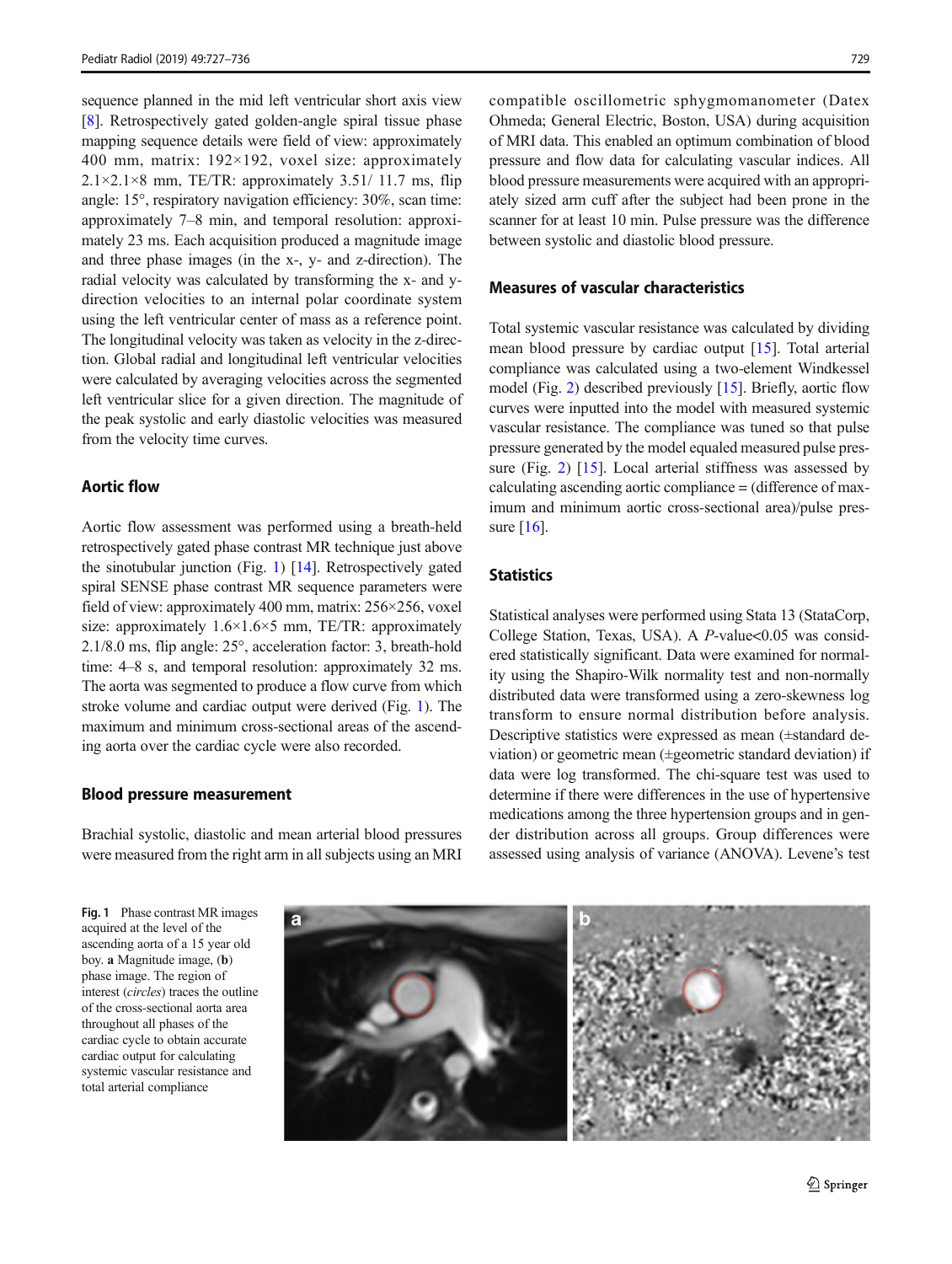sequence planned in the mid left ventricular short axis view [\[8](#page-8-0)]. Retrospectively gated golden-angle spiral tissue phase mapping sequence details were field of view: approximately 400 mm, matrix: 192×192, voxel size: approximately  $2.1 \times 2.1 \times 8$  mm, TE/TR: approximately 3.51/ 11.7 ms, flip angle: 15°, respiratory navigation efficiency: 30%, scan time: approximately 7–8 min, and temporal resolution: approximately 23 ms. Each acquisition produced a magnitude image and three phase images (in the x-, y- and z-direction). The radial velocity was calculated by transforming the x- and ydirection velocities to an internal polar coordinate system using the left ventricular center of mass as a reference point. The longitudinal velocity was taken as velocity in the z-direction. Global radial and longitudinal left ventricular velocities were calculated by averaging velocities across the segmented left ventricular slice for a given direction. The magnitude of the peak systolic and early diastolic velocities was measured from the velocity time curves.

## Aortic flow

Aortic flow assessment was performed using a breath-held retrospectively gated phase contrast MR technique just above the sinotubular junction (Fig. 1) [\[14\]](#page-8-0). Retrospectively gated spiral SENSE phase contrast MR sequence parameters were field of view: approximately 400 mm, matrix: 256×256, voxel size: approximately  $1.6 \times 1.6 \times 5$  mm, TE/TR: approximately 2.1/8.0 ms, flip angle: 25°, acceleration factor: 3, breath-hold time: 4–8 s, and temporal resolution: approximately 32 ms. The aorta was segmented to produce a flow curve from which stroke volume and cardiac output were derived (Fig. 1). The maximum and minimum cross-sectional areas of the ascending aorta over the cardiac cycle were also recorded.

#### Blood pressure measurement

Brachial systolic, diastolic and mean arterial blood pressures were measured from the right arm in all subjects using an MRI

compatible oscillometric sphygmomanometer (Datex Ohmeda; General Electric, Boston, USA) during acquisition of MRI data. This enabled an optimum combination of blood pressure and flow data for calculating vascular indices. All blood pressure measurements were acquired with an appropriately sized arm cuff after the subject had been prone in the scanner for at least 10 min. Pulse pressure was the difference between systolic and diastolic blood pressure.

## Measures of vascular characteristics

Total systemic vascular resistance was calculated by dividing mean blood pressure by cardiac output [\[15](#page-8-0)]. Total arterial compliance was calculated using a two-element Windkessel model (Fig. [2](#page-3-0)) described previously [[15\]](#page-8-0). Briefly, aortic flow curves were inputted into the model with measured systemic vascular resistance. The compliance was tuned so that pulse pressure generated by the model equaled measured pulse pres-sure (Fig. [2](#page-3-0)) [\[15](#page-8-0)]. Local arterial stiffness was assessed by calculating ascending aortic compliance = (difference of maximum and minimum aortic cross-sectional area)/pulse pressure  $[16]$ .

## **Statistics**

Statistical analyses were performed using Stata 13 (StataCorp, College Station, Texas, USA). A *P*-value<0.05 was considered statistically significant. Data were examined for normality using the Shapiro-Wilk normality test and non-normally distributed data were transformed using a zero-skewness log transform to ensure normal distribution before analysis. Descriptive statistics were expressed as mean (±standard deviation) or geometric mean (±geometric standard deviation) if data were log transformed. The chi-square test was used to determine if there were differences in the use of hypertensive medications among the three hypertension groups and in gender distribution across all groups. Group differences were assessed using analysis of variance (ANOVA). Levene's test

Fig. 1 Phase contrast MR images acquired at the level of the ascending aorta of a 15 year old boy. a Magnitude image, (b) phase image. The region of interest (circles) traces the outline of the cross-sectional aorta area throughout all phases of the cardiac cycle to obtain accurate cardiac output for calculating systemic vascular resistance and total arterial compliance

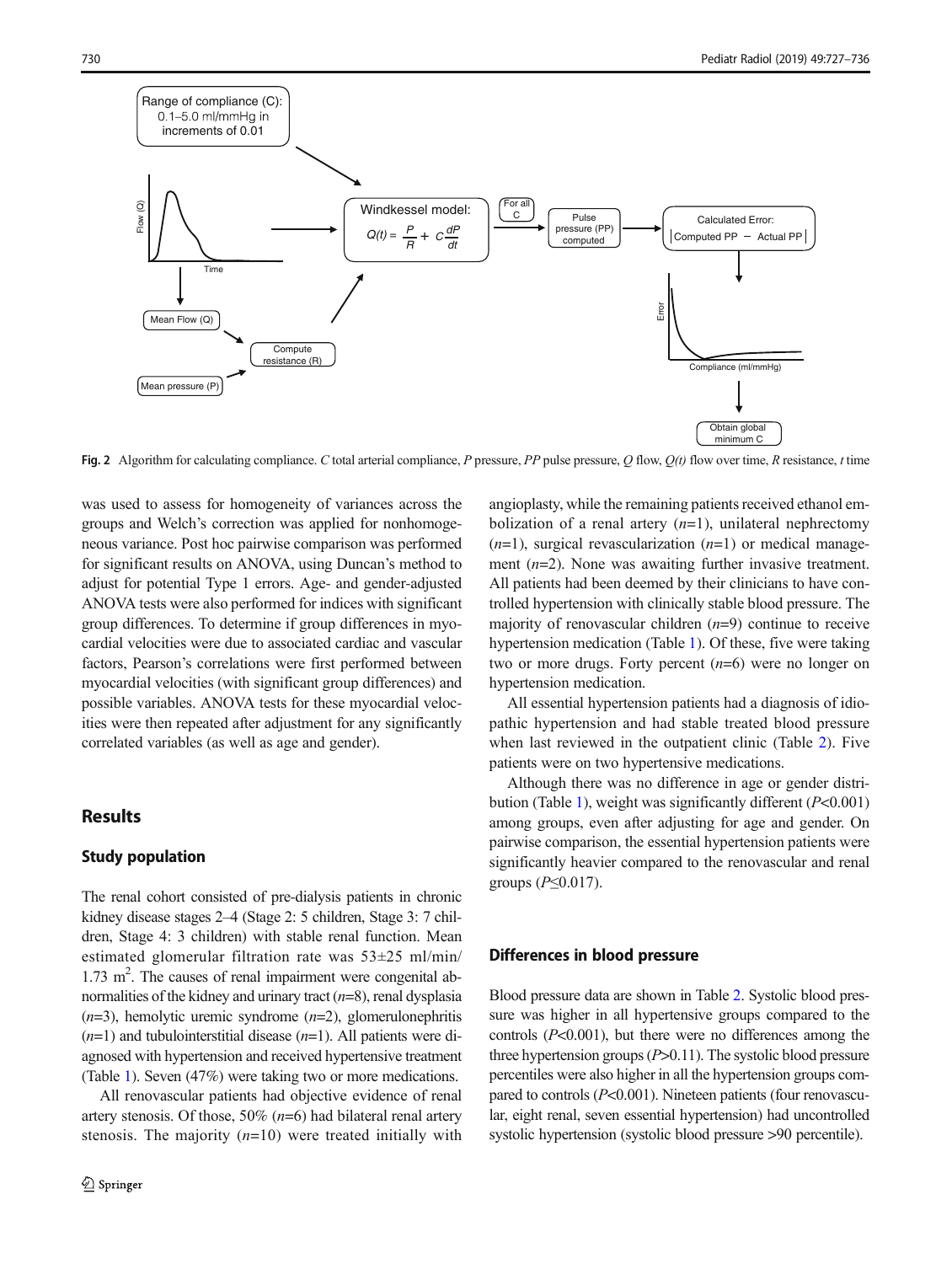<span id="page-3-0"></span>

Fig. 2 Algorithm for calculating compliance. C total arterial compliance, P pressure, PP pulse pressure, Q flow,  $Q(t)$  flow over time, R resistance, t time

was used to assess for homogeneity of variances across the groups and Welch's correction was applied for nonhomogeneous variance. Post hoc pairwise comparison was performed for significant results on ANOVA, using Duncan's method to adjust for potential Type 1 errors. Age- and gender-adjusted ANOVA tests were also performed for indices with significant group differences. To determine if group differences in myocardial velocities were due to associated cardiac and vascular factors, Pearson's correlations were first performed between myocardial velocities (with significant group differences) and possible variables. ANOVA tests for these myocardial velocities were then repeated after adjustment for any significantly correlated variables (as well as age and gender).

## Results

#### Study population

The renal cohort consisted of pre-dialysis patients in chronic kidney disease stages 2–4 (Stage 2: 5 children, Stage 3: 7 children, Stage 4: 3 children) with stable renal function. Mean estimated glomerular filtration rate was 53±25 ml/min/ 1.73 m<sup>2</sup>. The causes of renal impairment were congenital abnormalities of the kidney and urinary tract  $(n=8)$ , renal dysplasia  $(n=3)$ , hemolytic uremic syndrome  $(n=2)$ , glomerulonephritis  $(n=1)$  and tubulointerstitial disease  $(n=1)$ . All patients were diagnosed with hypertension and received hypertensive treatment (Table [1](#page-4-0)). Seven (47%) were taking two or more medications.

All renovascular patients had objective evidence of renal artery stenosis. Of those,  $50\%$  ( $n=6$ ) had bilateral renal artery stenosis. The majority  $(n=10)$  were treated initially with angioplasty, while the remaining patients received ethanol embolization of a renal artery  $(n=1)$ , unilateral nephrectomy  $(n=1)$ , surgical revascularization  $(n=1)$  or medical management  $(n=2)$ . None was awaiting further invasive treatment. All patients had been deemed by their clinicians to have controlled hypertension with clinically stable blood pressure. The majority of renovascular children  $(n=9)$  continue to receive hypertension medication (Table [1\)](#page-4-0). Of these, five were taking two or more drugs. Forty percent  $(n=6)$  were no longer on hypertension medication.

All essential hypertension patients had a diagnosis of idiopathic hypertension and had stable treated blood pressure when last reviewed in the outpatient clinic (Table [2](#page-4-0)). Five patients were on two hypertensive medications.

Although there was no difference in age or gender distri-bution (Table [1\)](#page-4-0), weight was significantly different  $(P<0.001)$ among groups, even after adjusting for age and gender. On pairwise comparison, the essential hypertension patients were significantly heavier compared to the renovascular and renal groups  $(P \leq 0.017)$ .

#### Differences in blood pressure

Blood pressure data are shown in Table [2.](#page-4-0) Systolic blood pressure was higher in all hypertensive groups compared to the controls  $(P<0.001)$ , but there were no differences among the three hypertension groups  $(P>0.11)$ . The systolic blood pressure percentiles were also higher in all the hypertension groups compared to controls  $(P<0.001)$ . Nineteen patients (four renovascular, eight renal, seven essential hypertension) had uncontrolled systolic hypertension (systolic blood pressure >90 percentile).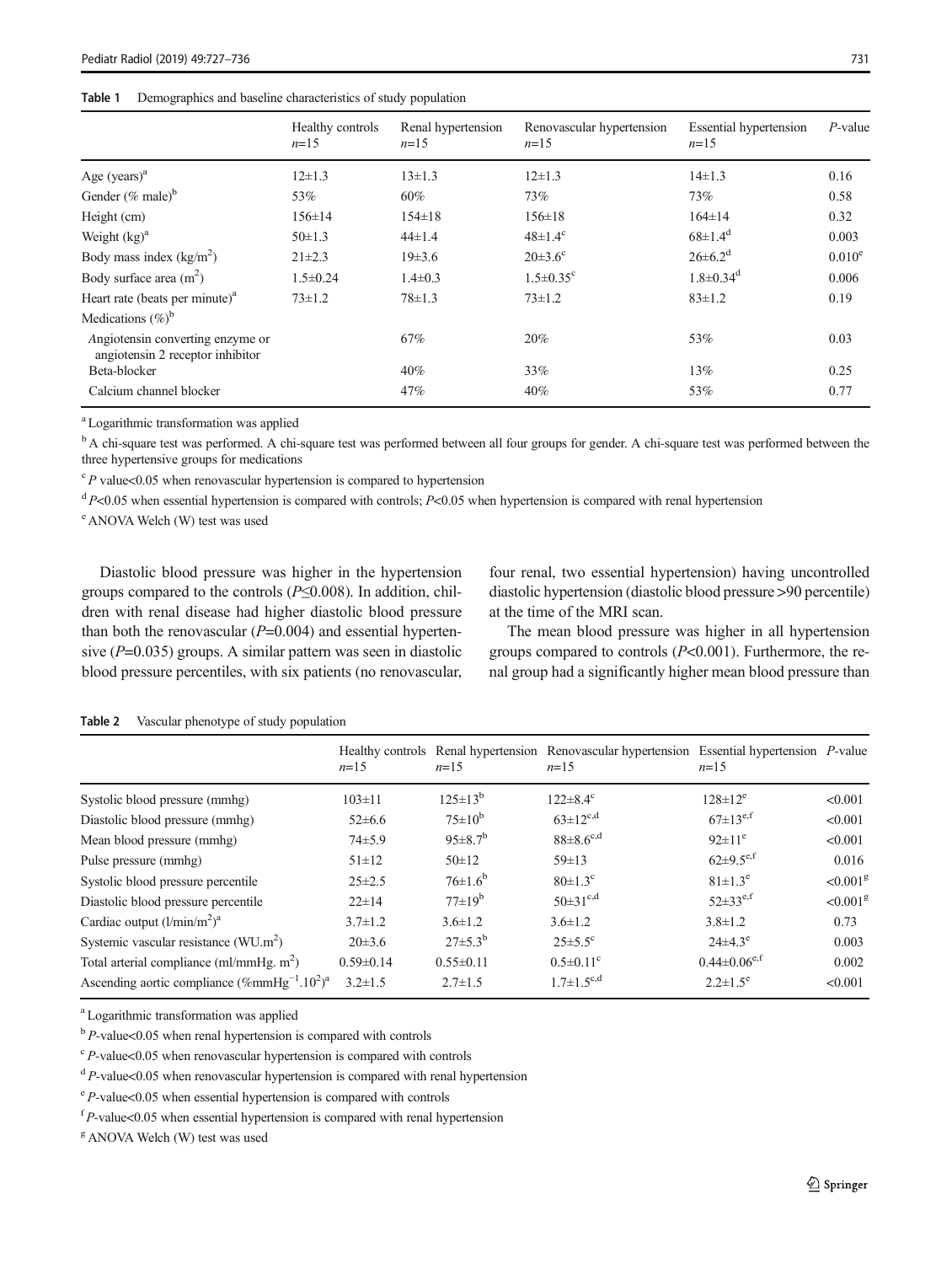#### <span id="page-4-0"></span>Table 1 Demographics and baseline characteristics of study population

|                                                                      | Healthy controls<br>$n=15$ | Renal hypertension<br>$n=15$ | Renovascular hypertension<br>$n=15$ | <b>Essential hypertension</b><br>$n=15$ | $P$ -value |
|----------------------------------------------------------------------|----------------------------|------------------------------|-------------------------------------|-----------------------------------------|------------|
| Age $(years)^a$                                                      | $12\pm1.3$                 | $13 \pm 1.3$                 | $12\pm1.3$                          | $14\pm1.3$                              | 0.16       |
| Gender $(\%$ male) <sup>b</sup>                                      | 53%                        | 60%                          | 73%                                 | 73%                                     | 0.58       |
| Height (cm)                                                          | $156 \pm 14$               | $154 \pm 18$                 | $156 \pm 18$                        | $164 \pm 14$                            | 0.32       |
| Weight $(kg)^a$                                                      | $50 \pm 1.3$               | $44\pm1.4$                   | $48 \pm 1.4^{\circ}$                | $68 \pm 1.4$ <sup>d</sup>               | 0.003      |
| Body mass index $(kg/m2)$                                            | $21 \pm 2.3$               | $19\pm3.6$                   | $20\pm3.6^{\circ}$                  | $26 \pm 6.2^d$                          | $0.010^e$  |
| Body surface area $(m^2)$                                            | $1.5 \pm 0.24$             | $1.4 \pm 0.3$                | $1.5 \pm 0.35$ <sup>c</sup>         | $1.8 \pm 0.34$ <sup>d</sup>             | 0.006      |
| Heart rate (beats per minute) $a$                                    | $73 \pm 1.2$               | $78 \pm 1.3$                 | $73 \pm 1.2$                        | $83 \pm 1.2$                            | 0.19       |
| Medications $(\%)^b$                                                 |                            |                              |                                     |                                         |            |
| Angiotensin converting enzyme or<br>angiotensin 2 receptor inhibitor |                            | 67%                          | 20%                                 | 53%                                     | 0.03       |
| Beta-blocker                                                         |                            | 40%                          | 33%                                 | 13%                                     | 0.25       |
| Calcium channel blocker                                              |                            | 47%                          | $40\%$                              | 53%                                     | 0.77       |

a Logarithmic transformation was applied

<sup>b</sup> A chi-square test was performed. A chi-square test was performed between all four groups for gender. A chi-square test was performed between the three hypertensive groups for medications

 $c$  P value<0.05 when renovascular hypertension is compared to hypertension

 $dP<0.05$  when essential hypertension is compared with controls; P<0.05 when hypertension is compared with renal hypertension

e ANOVA Welch (W) test was used

Diastolic blood pressure was higher in the hypertension groups compared to the controls ( $P \le 0.008$ ). In addition, children with renal disease had higher diastolic blood pressure than both the renovascular  $(P=0.004)$  and essential hypertensive  $(P=0.035)$  groups. A similar pattern was seen in diastolic blood pressure percentiles, with six patients (no renovascular,

four renal, two essential hypertension) having uncontrolled diastolic hypertension (diastolic blood pressure >90 percentile) at the time of the MRI scan.

The mean blood pressure was higher in all hypertension groups compared to controls  $(P<0.001)$ . Furthermore, the renal group had a significantly higher mean blood pressure than

#### Table 2 Vascular phenotype of study population

|                                                             | $n=15$          | $n=15$               | Healthy controls Renal hypertension Renovascular hypertension Essential hypertension P-value<br>$n=15$ | $n=15$                         |                        |
|-------------------------------------------------------------|-----------------|----------------------|--------------------------------------------------------------------------------------------------------|--------------------------------|------------------------|
| Systolic blood pressure (mmhg)                              | $103 \pm 11$    | $125 \pm 13^{b}$     | $122 \pm 8.4$ <sup>c</sup>                                                                             | $128 \pm 12^e$                 | < 0.001                |
| Diastolic blood pressure (mmhg)                             | $52\pm 6.6$     | $75 \pm 10^{b}$      | $63 \pm 12^{c,d}$                                                                                      | $67 \pm 13^{e,f}$              | < 0.001                |
| Mean blood pressure (mmhg)                                  | $74 \pm 5.9$    | $95 \pm 8.7^{\rm b}$ | $88 \pm 8.6^{\rm c,d}$                                                                                 | $92 \pm 11^e$                  | < 0.001                |
| Pulse pressure (mmhg)                                       | $51 \pm 12$     | $50 \pm 12$          | $59 \pm 13$                                                                                            | $62 \pm 9.5$ <sup>e,f</sup>    | 0.016                  |
| Systolic blood pressure percentile                          | $25 \pm 2.5$    | $76\pm1.6^{b}$       | $80 \pm 1.3$ <sup>c</sup>                                                                              | $81 \pm 1.3^e$                 | $< 0.001$ <sup>g</sup> |
| Diastolic blood pressure percentile                         | $22 \pm 14$     | $77\pm19^b$          | $50 \pm 31^{\text{c,d}}$                                                                               | $52\pm33^{e,f}$                | $< 0.001$ <sup>g</sup> |
| Cardiac output $(l/min/m2)a$                                | $3.7 \pm 1.2$   | $3.6 \pm 1.2$        | $3.6 \pm 1.2$                                                                                          | $3.8 \pm 1.2$                  | 0.73                   |
| Systemic vascular resistance $(WU.m^2)$                     | $20\pm3.6$      | $27\pm5.3^{b}$       | $25 \pm 5.5$ °                                                                                         | $24\pm4.3^{\circ}$             | 0.003                  |
| Total arterial compliance (ml/mmHg, m <sup>2</sup> )        | $0.59 \pm 0.14$ | $0.55 \pm 0.11$      | $0.5 \pm 0.11$ <sup>c</sup>                                                                            | $0.44 \pm 0.06$ <sup>e,f</sup> | 0.002                  |
| Ascending aortic compliance $(\%mm\text{mmHg}^{-1}.10^2)^a$ | $3.2 \pm 1.5$   | $2.7 \pm 1.5$        | $1.7 \pm 1.5^{\rm c,d}$                                                                                | $2.2 \pm 1.5^{\circ}$          | < 0.001                |

<sup>a</sup> Logarithmic transformation was applied

 $b$  P-value<0.05 when renal hypertension is compared with controls

 $c$  P-value<0.05 when renovascular hypertension is compared with controls

 $dP$ -value<0.05 when renovascular hypertension is compared with renal hypertension

e P-value<0.05 when essential hypertension is compared with controls

 $f_{P-\text{value}<0.05}$  when essential hypertension is compared with renal hypertension

<sup>g</sup> ANOVA Welch (W) test was used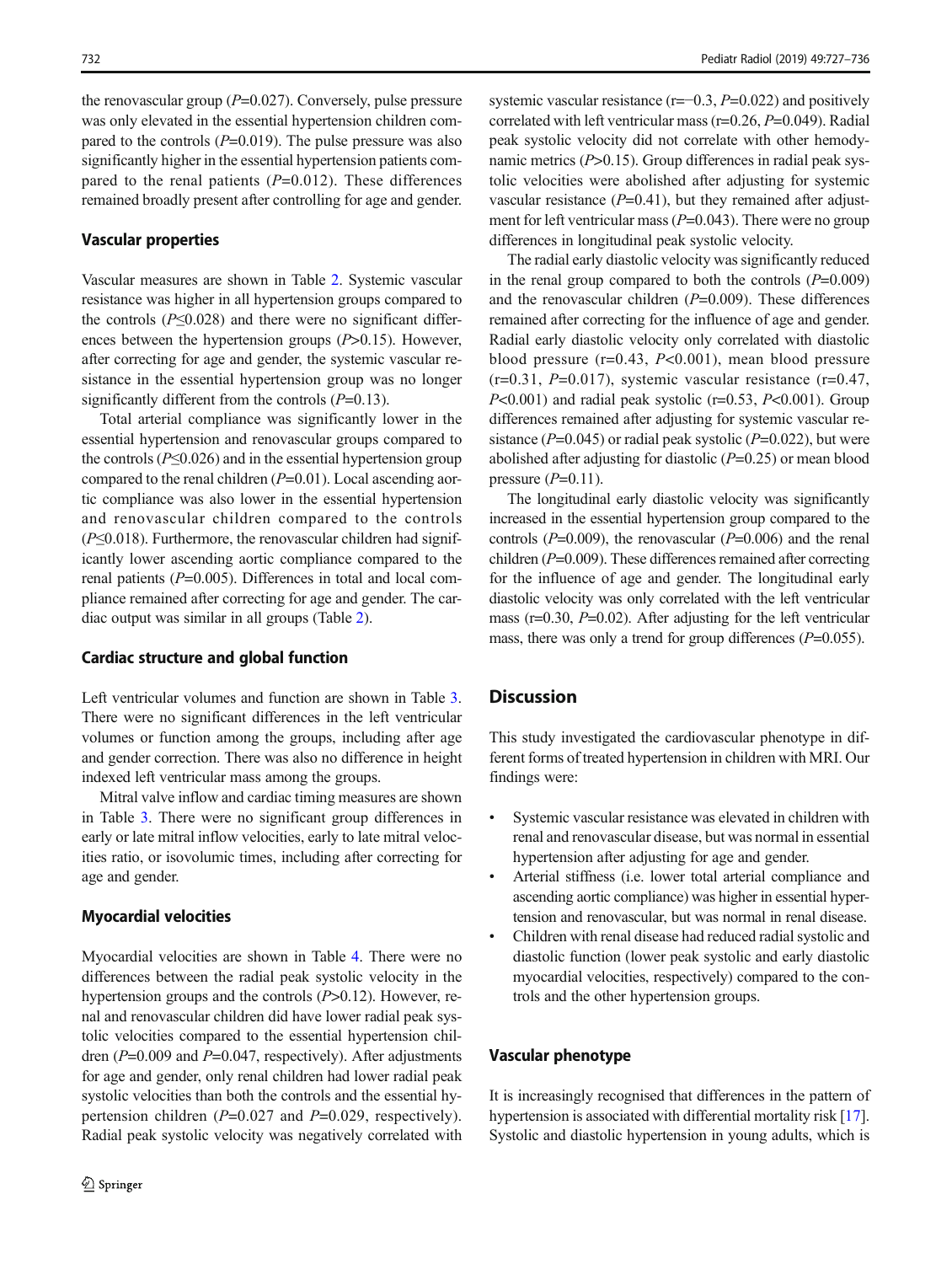the renovascular group  $(P=0.027)$ . Conversely, pulse pressure was only elevated in the essential hypertension children compared to the controls  $(P=0.019)$ . The pulse pressure was also significantly higher in the essential hypertension patients compared to the renal patients  $(P=0.012)$ . These differences remained broadly present after controlling for age and gender.

#### Vascular properties

Vascular measures are shown in Table [2](#page-4-0). Systemic vascular resistance was higher in all hypertension groups compared to the controls ( $P \leq 0.028$ ) and there were no significant differences between the hypertension groups  $(P>0.15)$ . However, after correcting for age and gender, the systemic vascular resistance in the essential hypertension group was no longer significantly different from the controls  $(P=0.13)$ .

Total arterial compliance was significantly lower in the essential hypertension and renovascular groups compared to the controls ( $P \leq 0.026$ ) and in the essential hypertension group compared to the renal children  $(P=0.01)$ . Local ascending aortic compliance was also lower in the essential hypertension and renovascular children compared to the controls  $(P \le 0.018)$ . Furthermore, the renovascular children had significantly lower ascending aortic compliance compared to the renal patients (P=0.005). Differences in total and local compliance remained after correcting for age and gender. The cardiac output was similar in all groups (Table [2\)](#page-4-0).

#### Cardiac structure and global function

Left ventricular volumes and function are shown in Table [3.](#page-6-0) There were no significant differences in the left ventricular volumes or function among the groups, including after age and gender correction. There was also no difference in height indexed left ventricular mass among the groups.

Mitral valve inflow and cardiac timing measures are shown in Table [3.](#page-6-0) There were no significant group differences in early or late mitral inflow velocities, early to late mitral velocities ratio, or isovolumic times, including after correcting for age and gender.

#### Myocardial velocities

Myocardial velocities are shown in Table [4.](#page-6-0) There were no differences between the radial peak systolic velocity in the hypertension groups and the controls (P>0.12). However, renal and renovascular children did have lower radial peak systolic velocities compared to the essential hypertension children ( $P=0.009$  and  $P=0.047$ , respectively). After adjustments for age and gender, only renal children had lower radial peak systolic velocities than both the controls and the essential hypertension children  $(P=0.027$  and  $P=0.029$ , respectively). Radial peak systolic velocity was negatively correlated with systemic vascular resistance  $(r=-0.3, P=0.022)$  and positively correlated with left ventricular mass ( $r=0.26$ ,  $P=0.049$ ). Radial peak systolic velocity did not correlate with other hemodynamic metrics  $(P>0.15)$ . Group differences in radial peak systolic velocities were abolished after adjusting for systemic vascular resistance  $(P=0.41)$ , but they remained after adjustment for left ventricular mass  $(P=0.043)$ . There were no group differences in longitudinal peak systolic velocity.

The radial early diastolic velocity was significantly reduced in the renal group compared to both the controls  $(P=0.009)$ and the renovascular children  $(P=0.009)$ . These differences remained after correcting for the influence of age and gender. Radial early diastolic velocity only correlated with diastolic blood pressure  $(r=0.43, P<0.001)$ , mean blood pressure  $(r=0.31, P=0.017)$ , systemic vascular resistance  $(r=0.47, P=0.017)$  $P<0.001$ ) and radial peak systolic (r=0.53,  $P<0.001$ ). Group differences remained after adjusting for systemic vascular resistance ( $P=0.045$ ) or radial peak systolic ( $P=0.022$ ), but were abolished after adjusting for diastolic  $(P=0.25)$  or mean blood pressure  $(P=0.11)$ .

The longitudinal early diastolic velocity was significantly increased in the essential hypertension group compared to the controls  $(P=0.009)$ , the renovascular  $(P=0.006)$  and the renal children  $(P=0.009)$ . These differences remained after correcting for the influence of age and gender. The longitudinal early diastolic velocity was only correlated with the left ventricular mass ( $r=0.30$ ,  $P=0.02$ ). After adjusting for the left ventricular mass, there was only a trend for group differences  $(P=0.055)$ .

# **Discussion**

This study investigated the cardiovascular phenotype in different forms of treated hypertension in children with MRI. Our findings were:

- Systemic vascular resistance was elevated in children with renal and renovascular disease, but was normal in essential hypertension after adjusting for age and gender.
- Arterial stiffness (i.e. lower total arterial compliance and ascending aortic compliance) was higher in essential hypertension and renovascular, but was normal in renal disease.
- & Children with renal disease had reduced radial systolic and diastolic function (lower peak systolic and early diastolic myocardial velocities, respectively) compared to the controls and the other hypertension groups.

#### Vascular phenotype

It is increasingly recognised that differences in the pattern of hypertension is associated with differential mortality risk [[17\]](#page-9-0). Systolic and diastolic hypertension in young adults, which is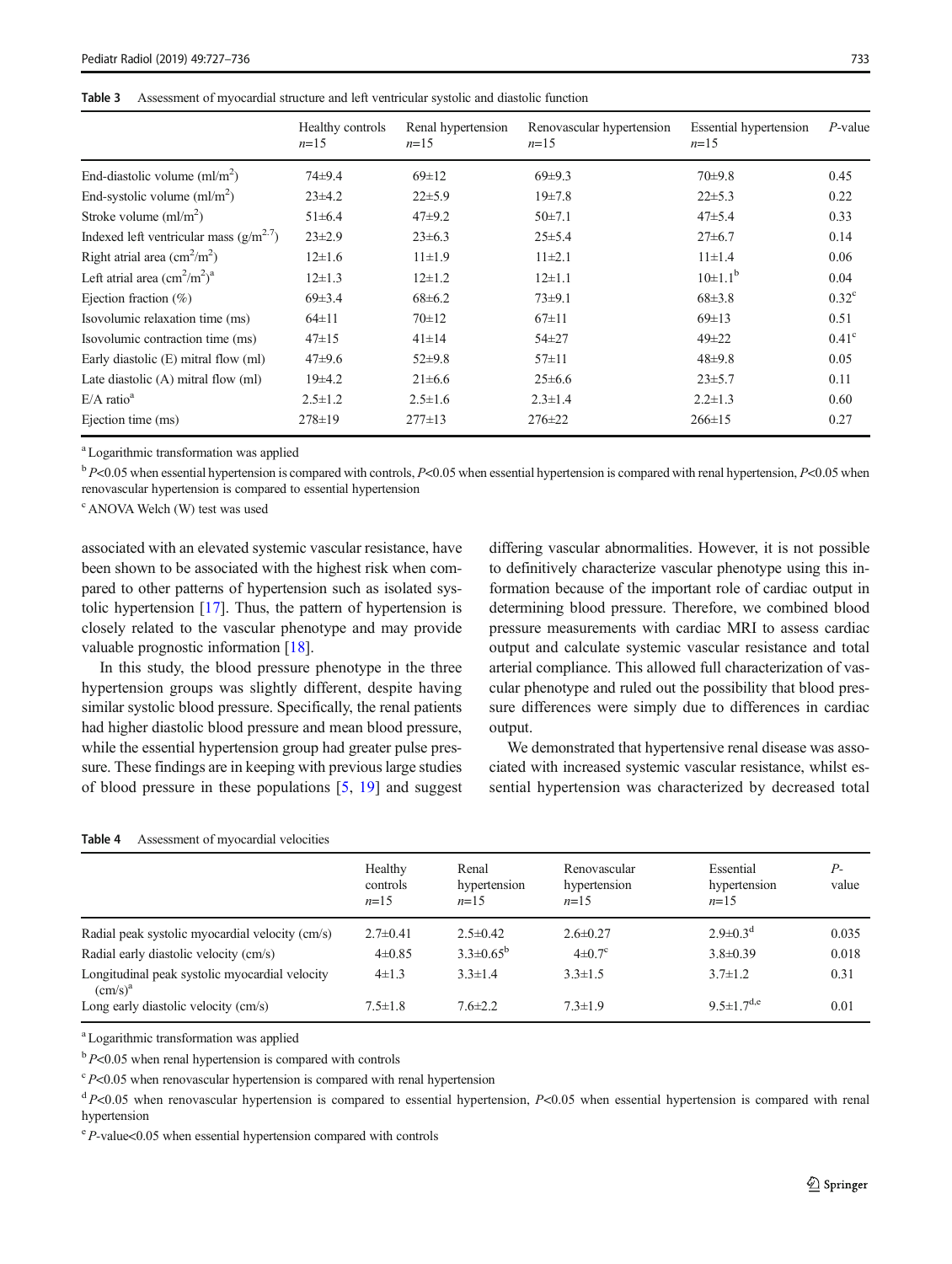<span id="page-6-0"></span>

| Table 3 | Assessment of myocardial structure and left ventricular systolic and diastolic function |  |
|---------|-----------------------------------------------------------------------------------------|--|
|---------|-----------------------------------------------------------------------------------------|--|

|                                                                | Healthy controls<br>$n=15$ | Renal hypertension<br>$n=15$ | Renovascular hypertension<br>$n=15$ | <b>Essential hypertension</b><br>$n=15$ | $P$ -value     |
|----------------------------------------------------------------|----------------------------|------------------------------|-------------------------------------|-----------------------------------------|----------------|
| End-diastolic volume $\text{m1/m}^2$ )                         | 74±9.4                     | $69 \pm 12$                  | $69 \pm 9.3$                        | $70 + 9.8$                              | 0.45           |
| End-systolic volume $(ml/m2)$                                  | $23\pm4.2$                 | $22\pm5.9$                   | $19\pm7.8$                          | $22\pm 5.3$                             | 0.22           |
| Stroke volume $\text{m1/m}^2$ )                                | $51\pm 6.4$                | $47 + 9.2$                   | $50 \pm 7.1$                        | $47 + 5.4$                              | 0.33           |
| Indexed left ventricular mass $(g/m^{2.7})$                    | $23\pm2.9$                 | $23\pm 6.3$                  | $25 \pm 5.4$                        | $27 \pm 6.7$                            | 0.14           |
| Right atrial area $\text{(cm}^2\text{/m}^2)$                   | $12\pm1.6$                 | $11\pm1.9$                   | $11\pm2.1$                          | $11 \pm 1.4$                            | 0.06           |
| Left atrial area $\text{ (cm}^2\text{/m}^2\text{)}^{\text{a}}$ | $12\pm1.3$                 | $12 \pm 1.2$                 | $12\pm1.1$                          | $10\pm1.1^{b}$                          | 0.04           |
| Ejection fraction $(\%)$                                       | $69\pm3.4$                 | $68 \pm 6.2$                 | $73+9.1$                            | $68\pm3.8$                              | $0.32^{\circ}$ |
| Isovolumic relaxation time (ms)                                | $64 \pm 11$                | $70 \pm 12$                  | $67 \pm 11$                         | $69 \pm 13$                             | 0.51           |
| Isovolumic contraction time (ms)                               | $47 \pm 15$                | $41 \pm 14$                  | $54 \pm 27$                         | $49 \pm 22$                             | $0.41^\circ$   |
| Early diastolic (E) mitral flow (ml)                           | $47 + 9.6$                 | $52\pm9.8$                   | $57 \pm 11$                         | $48 + 9.8$                              | 0.05           |
| Late diastolic $(A)$ mitral flow $(ml)$                        | 19±4.2                     | $21 \pm 6.6$                 | $25 \pm 6.6$                        | $23\pm5.7$                              | 0.11           |
| $E/A$ ratio <sup>a</sup>                                       | $2.5 \pm 1.2$              | $2.5 \pm 1.6$                | $2.3 \pm 1.4$                       | $2.2 \pm 1.3$                           | 0.60           |
| Ejection time (ms)                                             | $278 \pm 19$               | $277 \pm 13$                 | $276 \pm 22$                        | $266 \pm 15$                            | 0.27           |

a Logarithmic transformation was applied

 $b$  P<0.05 when essential hypertension is compared with controls, P<0.05 when essential hypertension is compared with renal hypertension, P<0.05 when renovascular hypertension is compared to essential hypertension

c ANOVA Welch (W) test was used

associated with an elevated systemic vascular resistance, have been shown to be associated with the highest risk when compared to other patterns of hypertension such as isolated systolic hypertension [\[17\]](#page-9-0). Thus, the pattern of hypertension is closely related to the vascular phenotype and may provide valuable prognostic information [\[18\]](#page-9-0).

In this study, the blood pressure phenotype in the three hypertension groups was slightly different, despite having similar systolic blood pressure. Specifically, the renal patients had higher diastolic blood pressure and mean blood pressure, while the essential hypertension group had greater pulse pressure. These findings are in keeping with previous large studies of blood pressure in these populations [[5,](#page-8-0) [19\]](#page-9-0) and suggest differing vascular abnormalities. However, it is not possible to definitively characterize vascular phenotype using this information because of the important role of cardiac output in determining blood pressure. Therefore, we combined blood pressure measurements with cardiac MRI to assess cardiac output and calculate systemic vascular resistance and total arterial compliance. This allowed full characterization of vascular phenotype and ruled out the possibility that blood pressure differences were simply due to differences in cardiac output.

We demonstrated that hypertensive renal disease was associated with increased systemic vascular resistance, whilst essential hypertension was characterized by decreased total

#### Table 4 Assessment of myocardial velocities

|                                                                              | Healthy<br>controls<br>$n=15$ | Renal<br>hypertension<br>$n=1.5$ | Renovascular<br>hypertension<br>$n=15$ | Essential<br>hypertension<br>$n=15$ | $P-$<br>value |
|------------------------------------------------------------------------------|-------------------------------|----------------------------------|----------------------------------------|-------------------------------------|---------------|
| Radial peak systolic myocardial velocity (cm/s)                              | $2.7 \pm 0.41$                | $2.5 \pm 0.42$                   | $2.6 \pm 0.27$                         | $2.9 \pm 0.3$ <sup>d</sup>          | 0.035         |
| Radial early diastolic velocity (cm/s)                                       | $4\pm 0.85$                   | $3.3 \pm 0.65^{\rm b}$           | $4\pm 0.7$ °                           | $3.8 \pm 0.39$                      | 0.018         |
| Longitudinal peak systolic myocardial velocity<br>$\text{(cm/s)}^{\text{a}}$ | $4\pm1.3$                     | $3.3 \pm 1.4$                    | $3.3 \pm 1.5$                          | $3.7 \pm 1.2$                       | 0.31          |
| Long early diastolic velocity (cm/s)                                         | $7.5 \pm 1.8$                 | $7.6 \pm 2.2$                    | $7.3 \pm 1.9$                          | 9.5 $\pm$ 1.7 <sup>d,e</sup>        | 0.01          |

<sup>a</sup> Logarithmic transformation was applied

 $b$  P<0.05 when renal hypertension is compared with controls

 $c<sup>c</sup> P<0.05$  when renovascular hypertension is compared with renal hypertension

 $dP$ <0.05 when renovascular hypertension is compared to essential hypertension,  $P$ <0.05 when essential hypertension is compared with renal hypertension

e P-value<0.05 when essential hypertension compared with controls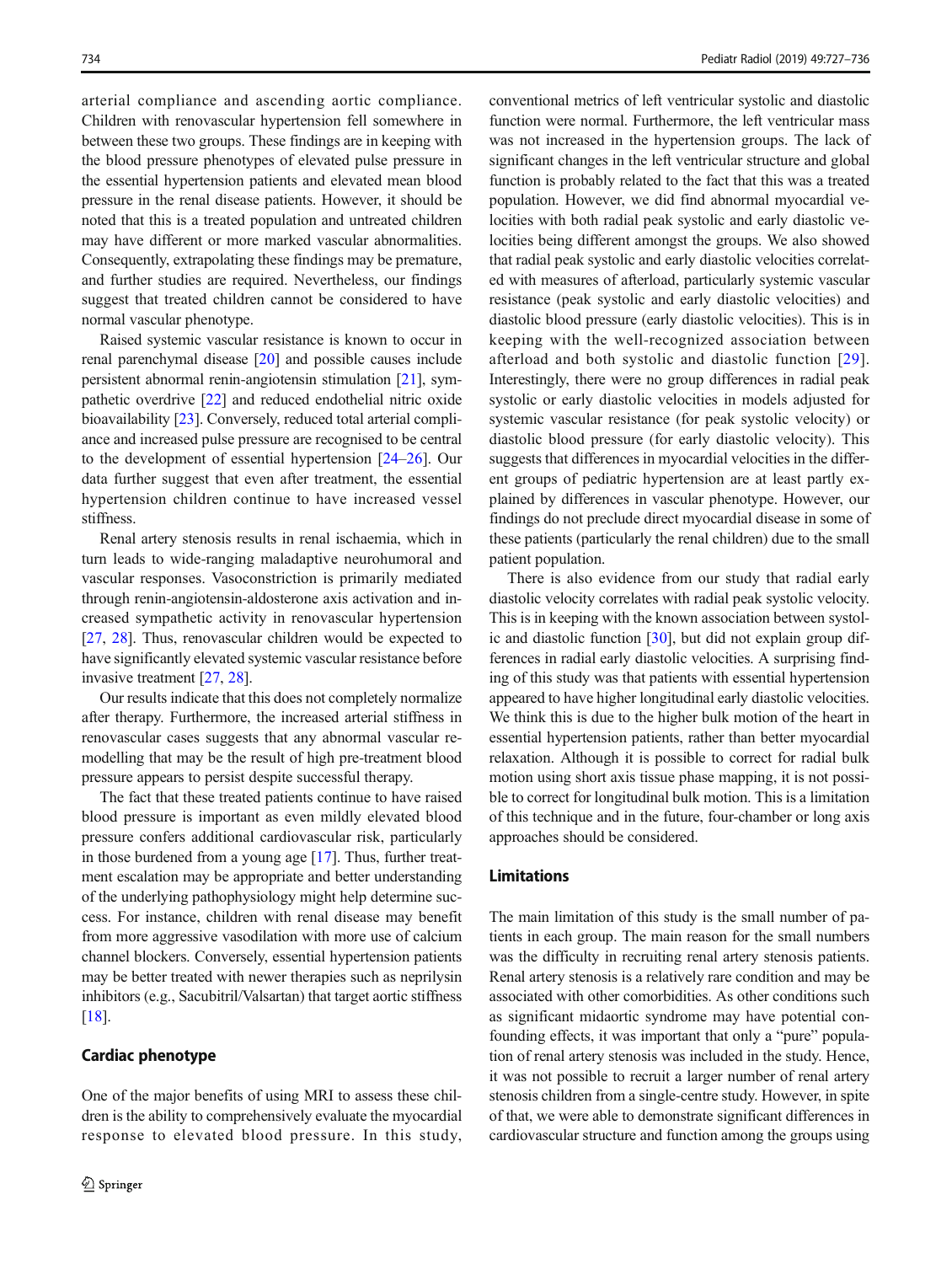arterial compliance and ascending aortic compliance. Children with renovascular hypertension fell somewhere in between these two groups. These findings are in keeping with the blood pressure phenotypes of elevated pulse pressure in the essential hypertension patients and elevated mean blood pressure in the renal disease patients. However, it should be noted that this is a treated population and untreated children may have different or more marked vascular abnormalities. Consequently, extrapolating these findings may be premature, and further studies are required. Nevertheless, our findings suggest that treated children cannot be considered to have normal vascular phenotype.

Raised systemic vascular resistance is known to occur in renal parenchymal disease [\[20\]](#page-9-0) and possible causes include persistent abnormal renin-angiotensin stimulation [\[21\]](#page-9-0), sympathetic overdrive [[22\]](#page-9-0) and reduced endothelial nitric oxide bioavailability [\[23\]](#page-9-0). Conversely, reduced total arterial compliance and increased pulse pressure are recognised to be central to the development of essential hypertension [[24](#page-9-0)–[26](#page-9-0)]. Our data further suggest that even after treatment, the essential hypertension children continue to have increased vessel stiffness.

Renal artery stenosis results in renal ischaemia, which in turn leads to wide-ranging maladaptive neurohumoral and vascular responses. Vasoconstriction is primarily mediated through renin-angiotensin-aldosterone axis activation and increased sympathetic activity in renovascular hypertension [\[27,](#page-9-0) [28\]](#page-9-0). Thus, renovascular children would be expected to have significantly elevated systemic vascular resistance before invasive treatment [[27,](#page-9-0) [28\]](#page-9-0).

Our results indicate that this does not completely normalize after therapy. Furthermore, the increased arterial stiffness in renovascular cases suggests that any abnormal vascular remodelling that may be the result of high pre-treatment blood pressure appears to persist despite successful therapy.

The fact that these treated patients continue to have raised blood pressure is important as even mildly elevated blood pressure confers additional cardiovascular risk, particularly in those burdened from a young age [[17\]](#page-9-0). Thus, further treatment escalation may be appropriate and better understanding of the underlying pathophysiology might help determine success. For instance, children with renal disease may benefit from more aggressive vasodilation with more use of calcium channel blockers. Conversely, essential hypertension patients may be better treated with newer therapies such as neprilysin inhibitors (e.g., Sacubitril/Valsartan) that target aortic stiffness [\[18\]](#page-9-0).

#### Cardiac phenotype

One of the major benefits of using MRI to assess these children is the ability to comprehensively evaluate the myocardial response to elevated blood pressure. In this study, conventional metrics of left ventricular systolic and diastolic function were normal. Furthermore, the left ventricular mass was not increased in the hypertension groups. The lack of significant changes in the left ventricular structure and global function is probably related to the fact that this was a treated population. However, we did find abnormal myocardial velocities with both radial peak systolic and early diastolic velocities being different amongst the groups. We also showed that radial peak systolic and early diastolic velocities correlated with measures of afterload, particularly systemic vascular resistance (peak systolic and early diastolic velocities) and diastolic blood pressure (early diastolic velocities). This is in keeping with the well-recognized association between afterload and both systolic and diastolic function [[29](#page-9-0)]. Interestingly, there were no group differences in radial peak systolic or early diastolic velocities in models adjusted for systemic vascular resistance (for peak systolic velocity) or diastolic blood pressure (for early diastolic velocity). This suggests that differences in myocardial velocities in the different groups of pediatric hypertension are at least partly explained by differences in vascular phenotype. However, our findings do not preclude direct myocardial disease in some of these patients (particularly the renal children) due to the small patient population.

There is also evidence from our study that radial early diastolic velocity correlates with radial peak systolic velocity. This is in keeping with the known association between systolic and diastolic function [[30](#page-9-0)], but did not explain group differences in radial early diastolic velocities. A surprising finding of this study was that patients with essential hypertension appeared to have higher longitudinal early diastolic velocities. We think this is due to the higher bulk motion of the heart in essential hypertension patients, rather than better myocardial relaxation. Although it is possible to correct for radial bulk motion using short axis tissue phase mapping, it is not possible to correct for longitudinal bulk motion. This is a limitation of this technique and in the future, four-chamber or long axis approaches should be considered.

#### Limitations

The main limitation of this study is the small number of patients in each group. The main reason for the small numbers was the difficulty in recruiting renal artery stenosis patients. Renal artery stenosis is a relatively rare condition and may be associated with other comorbidities. As other conditions such as significant midaortic syndrome may have potential confounding effects, it was important that only a "pure" population of renal artery stenosis was included in the study. Hence, it was not possible to recruit a larger number of renal artery stenosis children from a single-centre study. However, in spite of that, we were able to demonstrate significant differences in cardiovascular structure and function among the groups using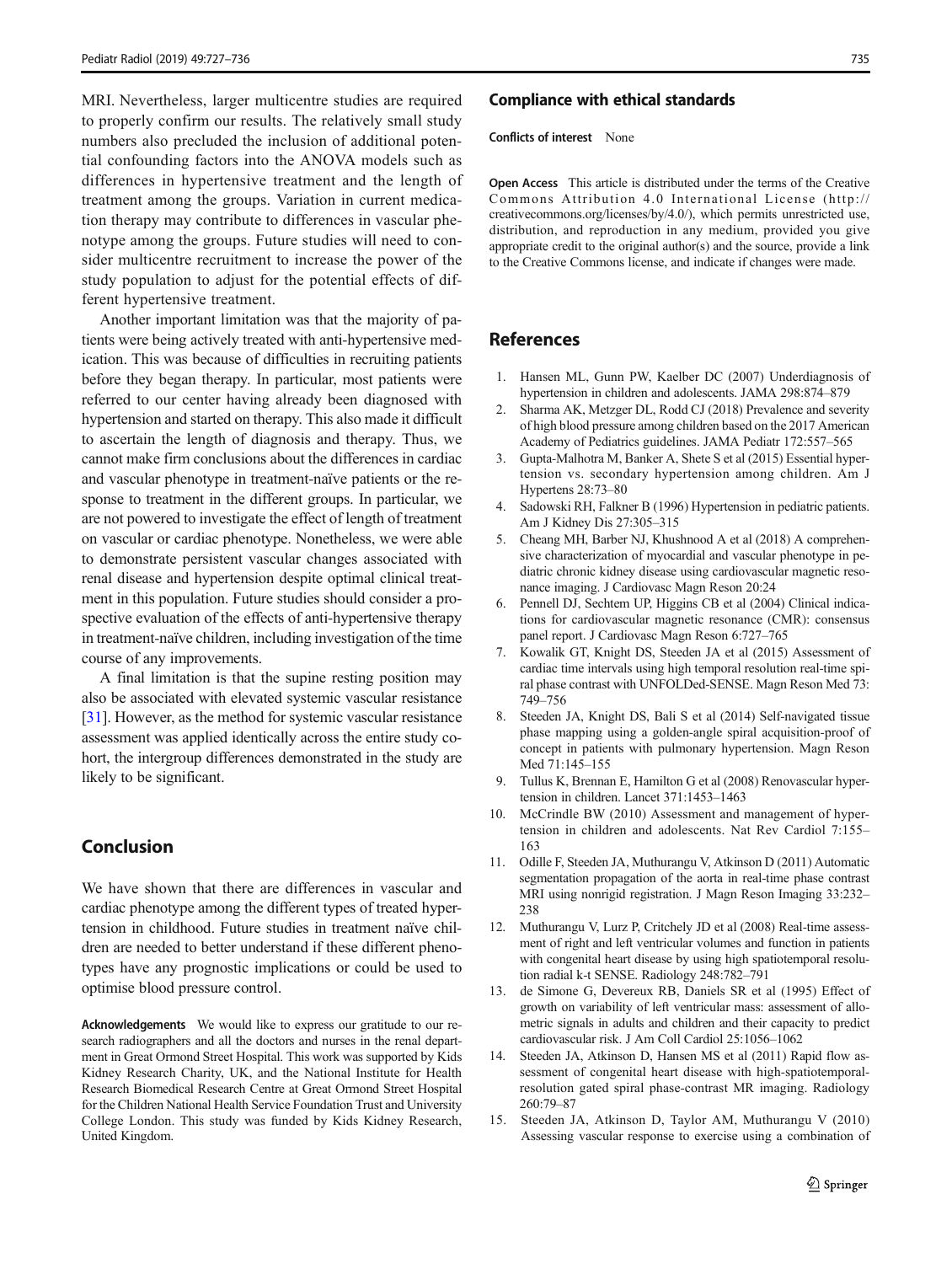<span id="page-8-0"></span>MRI. Nevertheless, larger multicentre studies are required to properly confirm our results. The relatively small study numbers also precluded the inclusion of additional potential confounding factors into the ANOVA models such as differences in hypertensive treatment and the length of treatment among the groups. Variation in current medication therapy may contribute to differences in vascular phenotype among the groups. Future studies will need to consider multicentre recruitment to increase the power of the study population to adjust for the potential effects of different hypertensive treatment.

Another important limitation was that the majority of patients were being actively treated with anti-hypertensive medication. This was because of difficulties in recruiting patients before they began therapy. In particular, most patients were referred to our center having already been diagnosed with hypertension and started on therapy. This also made it difficult to ascertain the length of diagnosis and therapy. Thus, we cannot make firm conclusions about the differences in cardiac and vascular phenotype in treatment-naïve patients or the response to treatment in the different groups. In particular, we are not powered to investigate the effect of length of treatment on vascular or cardiac phenotype. Nonetheless, we were able to demonstrate persistent vascular changes associated with renal disease and hypertension despite optimal clinical treatment in this population. Future studies should consider a prospective evaluation of the effects of anti-hypertensive therapy in treatment-naïve children, including investigation of the time course of any improvements.

A final limitation is that the supine resting position may also be associated with elevated systemic vascular resistance [\[31\]](#page-9-0). However, as the method for systemic vascular resistance assessment was applied identically across the entire study cohort, the intergroup differences demonstrated in the study are likely to be significant.

# Conclusion

We have shown that there are differences in vascular and cardiac phenotype among the different types of treated hypertension in childhood. Future studies in treatment naïve children are needed to better understand if these different phenotypes have any prognostic implications or could be used to optimise blood pressure control.

Acknowledgements We would like to express our gratitude to our research radiographers and all the doctors and nurses in the renal department in Great Ormond Street Hospital. This work was supported by Kids Kidney Research Charity, UK, and the National Institute for Health Research Biomedical Research Centre at Great Ormond Street Hospital for the Children National Health Service Foundation Trust and University College London. This study was funded by Kids Kidney Research, United Kingdom.

#### Compliance with ethical standards

Conflicts of interest None

Open Access This article is distributed under the terms of the Creative Commons Attribution 4.0 International License (http:// creativecommons.org/licenses/by/4.0/), which permits unrestricted use, distribution, and reproduction in any medium, provided you give appropriate credit to the original author(s) and the source, provide a link to the Creative Commons license, and indicate if changes were made.

# References

- 1. Hansen ML, Gunn PW, Kaelber DC (2007) Underdiagnosis of hypertension in children and adolescents. JAMA 298:874–879
- 2. Sharma AK, Metzger DL, Rodd CJ (2018) Prevalence and severity of high blood pressure among children based on the 2017 American Academy of Pediatrics guidelines. JAMA Pediatr 172:557–565
- 3. Gupta-Malhotra M, Banker A, Shete S et al (2015) Essential hypertension vs. secondary hypertension among children. Am J Hypertens 28:73–80
- 4. Sadowski RH, Falkner B (1996) Hypertension in pediatric patients. Am J Kidney Dis 27:305–315
- 5. Cheang MH, Barber NJ, Khushnood A et al (2018) A comprehensive characterization of myocardial and vascular phenotype in pediatric chronic kidney disease using cardiovascular magnetic resonance imaging. J Cardiovasc Magn Reson 20:24
- 6. Pennell DJ, Sechtem UP, Higgins CB et al (2004) Clinical indications for cardiovascular magnetic resonance (CMR): consensus panel report. J Cardiovasc Magn Reson 6:727–765
- 7. Kowalik GT, Knight DS, Steeden JA et al (2015) Assessment of cardiac time intervals using high temporal resolution real-time spiral phase contrast with UNFOLDed-SENSE. Magn Reson Med 73: 749–756
- 8. Steeden JA, Knight DS, Bali S et al (2014) Self-navigated tissue phase mapping using a golden-angle spiral acquisition-proof of concept in patients with pulmonary hypertension. Magn Reson Med 71:145–155
- 9. Tullus K, Brennan E, Hamilton G et al (2008) Renovascular hypertension in children. Lancet 371:1453–1463
- 10. McCrindle BW (2010) Assessment and management of hypertension in children and adolescents. Nat Rev Cardiol 7:155– 163
- 11. Odille F, Steeden JA, Muthurangu V, Atkinson D (2011) Automatic segmentation propagation of the aorta in real-time phase contrast MRI using nonrigid registration. J Magn Reson Imaging 33:232– 238
- 12. Muthurangu V, Lurz P, Critchely JD et al (2008) Real-time assessment of right and left ventricular volumes and function in patients with congenital heart disease by using high spatiotemporal resolution radial k-t SENSE. Radiology 248:782–791
- 13. de Simone G, Devereux RB, Daniels SR et al (1995) Effect of growth on variability of left ventricular mass: assessment of allometric signals in adults and children and their capacity to predict cardiovascular risk. J Am Coll Cardiol 25:1056–1062
- 14. Steeden JA, Atkinson D, Hansen MS et al (2011) Rapid flow assessment of congenital heart disease with high-spatiotemporalresolution gated spiral phase-contrast MR imaging. Radiology 260:79–87
- 15. Steeden JA, Atkinson D, Taylor AM, Muthurangu V (2010) Assessing vascular response to exercise using a combination of